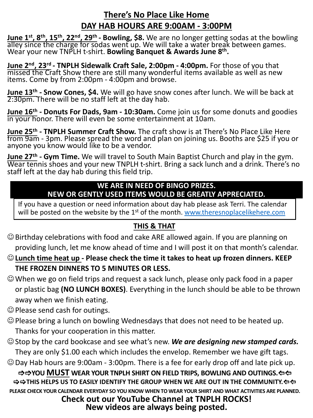## **There's No Place Like Home DAY HAB HOURS ARE 9:00AM - 3:00PM**

**June 1<sup>st</sup>, 8<sup>th</sup>, 15<sup>th</sup>, 22<sup>nd</sup>, 29<sup>th</sup> - Bowling, \$8. We are no longer getting sodas at the bowling alley since the charge for sodas went up. We will take a water break between games.** Wear your new TNPLH t-shirt. **Bowling Banquet & Awards June 8th.**

**June 2nd, 23rd - TNPLH Sidewalk Craft Sale, 2:00pm - 4:00pm.** For those of you that missed the Craft Show there are still many wonderful items available as well as new items. Come by from 2:00pm - 4:00pm and browse.

**June 13th - Snow Cones, \$4.** We will go have snow cones after lunch. We will be back at 2:30pm. There will be no staff left at the day hab.

**June 16th - Donuts For Dads, 9am - 10:30am.** Come join us for some donuts and goodies in your honor. There will even be some entertainment at 10am.

**June 25th - TNPLH Summer Craft Show.** The craft show is at There's No Place Like Here from 9am - 3pm. Please spread the word and plan on joining us. Booths are \$25 if you or anyone you know would like to be a vendor.

**June 27th - Gym Time.** We will travel to South Main Baptist Church and play in the gym. Wear tennis shoes and your new TNPLH t-shirt. Bring [a sack lunch and a drink. There'](http://www.theresnoplacelikehere.com/)s no staff left at the day hab during this field trip.

## **WE ARE IN NEED OF BINGO PRIZES. NEW OR GENTLY USED ITEMS WOULD BE GREATLY APPRECIATED.**

If you have a question or need information about day hab please ask Terri. The calendar will be posted on the website by the 1<sup>st</sup> of the month. www.theresnoplacelikehere.com

## **THIS & THAT**

- $\odot$  Birthday celebrations with food and cake ARE allowed again. If you are planning on providing lunch, let me know ahead of time and I will post it on that month's calendar.
- J**Lunch time heat up - Please check the time it takes to heat up frozen dinners. KEEP THE FROZEN DINNERS TO 5 MINUTES OR LESS.**
- $\odot$  When we go on field trips and request a sack lunch, please only pack food in a paper or plastic bag **(NO LUNCH BOXES)**. Everything in the lunch should be able to be thrown away when we finish eating.
- $\odot$  Please send cash for outings.
- $\odot$  Please bring a lunch on bowling Wednesdays that does not need to be heated up. Thanks for your cooperation in this matter.
- $\odot$  Stop by the card bookcase and see what's new. *We are designing new stamped cards.* They are only \$1.00 each which includes the envelop. Remember we have gift tags.
- $\odot$  Day Hab hours are 9:00am 3:00pm. There is a fee for early drop off and late pick up.

 $\Rightarrow$  $\Rightarrow$  **YOU MUST** WEAR YOUR TNPLH SHIRT ON FIELD TRIPS, BOWLING AND OUTINGS.  $\Leftarrow$  $\Rightarrow$   $\Rightarrow$  THIS HELPS US TO EASILY IDENTIFY THE GROUP WHEN WE ARE OUT IN THE COMMUNITY. $\Leftarrow$   $\Leftarrow$ **PLEASE CHECK YOUR CALENDAR EVERYDAY SO YOU KNOW WHEN TO WEAR YOUR SHIRT AND WHAT ACTIVITIES ARE PLANNED.**

**Check out our YouTube Channel at TNPLH ROCKS! New videos are always being posted.**